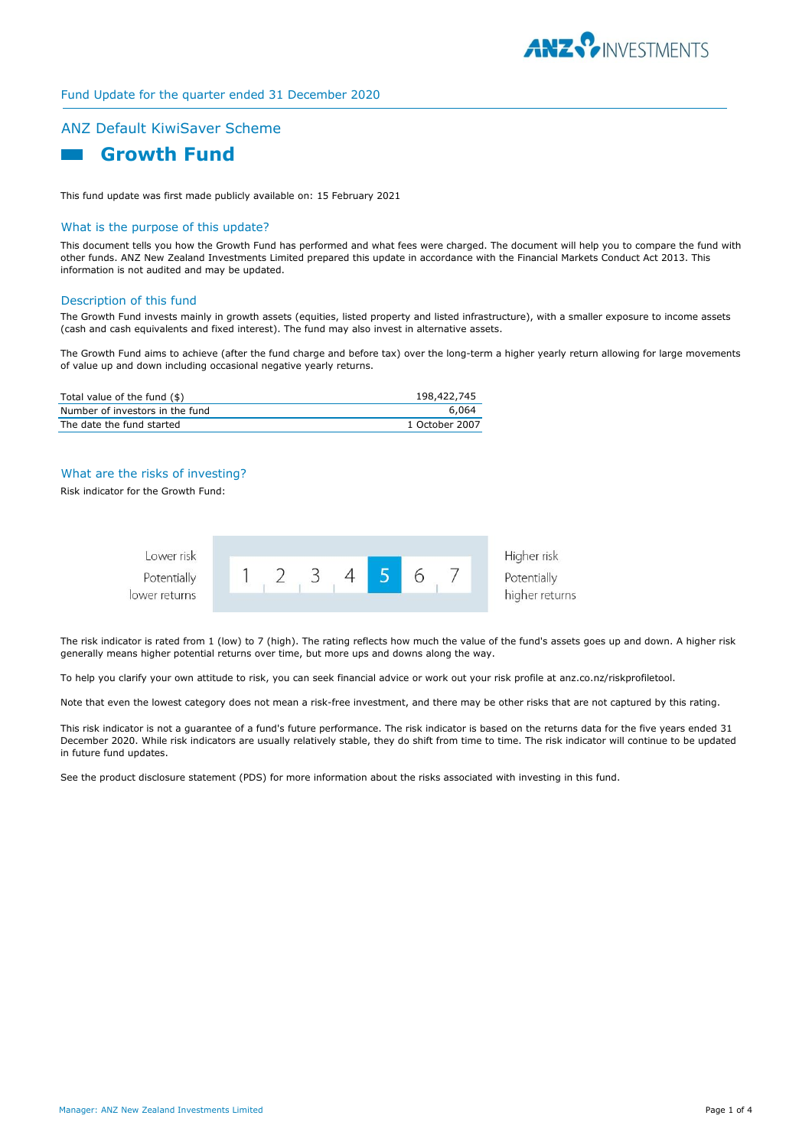

# Fund Update for the quarter ended 31 December 2020

# ANZ Default KiwiSaver Scheme



This fund update was first made publicly available on: 15 February 2021

# What is the purpose of this update?

This document tells you how the Growth Fund has performed and what fees were charged. The document will help you to compare the fund with other funds. ANZ New Zealand Investments Limited prepared this update in accordance with the Financial Markets Conduct Act 2013. This information is not audited and may be updated.

#### Description of this fund

The Growth Fund invests mainly in growth assets (equities, listed property and listed infrastructure), with a smaller exposure to income assets (cash and cash equivalents and fixed interest). The fund may also invest in alternative assets.

The Growth Fund aims to achieve (after the fund charge and before tax) over the long-term a higher yearly return allowing for large movements of value up and down including occasional negative yearly returns.

| Total value of the fund (\$)    | 198,422,745    |
|---------------------------------|----------------|
| Number of investors in the fund | 6.064          |
| The date the fund started       | 1 October 2007 |

# What are the risks of investing?

Risk indicator for the Growth Fund:



The risk indicator is rated from 1 (low) to 7 (high). The rating reflects how much the value of the fund's assets goes up and down. A higher risk generally means higher potential returns over time, but more ups and downs along the way.

To help you clarify your own attitude to risk, you can seek financial advice or work out your risk profile at anz.co.nz/riskprofiletool.

Note that even the lowest category does not mean a risk-free investment, and there may be other risks that are not captured by this rating.

This risk indicator is not a guarantee of a fund's future performance. The risk indicator is based on the returns data for the five years ended 31 December 2020. While risk indicators are usually relatively stable, they do shift from time to time. The risk indicator will continue to be updated in future fund updates.

See the product disclosure statement (PDS) for more information about the risks associated with investing in this fund.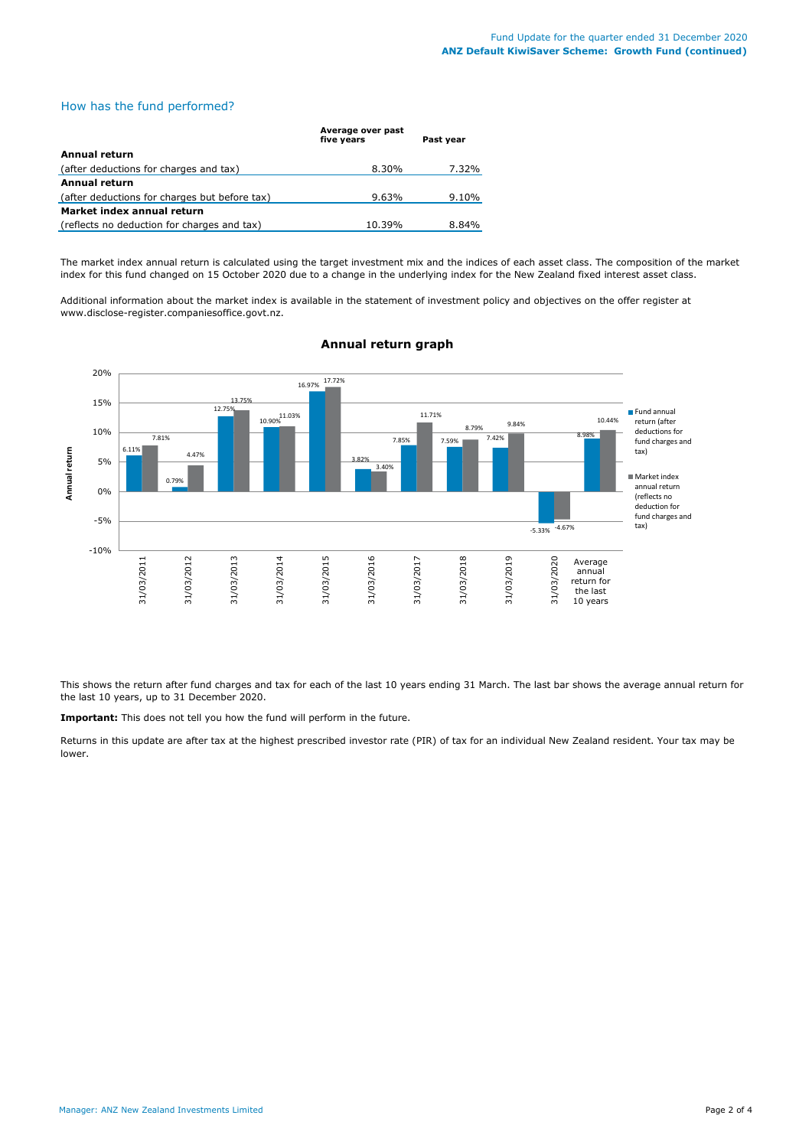# How has the fund performed?

|                                               | Average over past<br>five years | Past year |
|-----------------------------------------------|---------------------------------|-----------|
| Annual return                                 |                                 |           |
| (after deductions for charges and tax)        | 8.30%                           | 7.32%     |
| Annual return                                 |                                 |           |
| (after deductions for charges but before tax) | $9.63\%$                        | 9.10%     |
| Market index annual return                    |                                 |           |
| (reflects no deduction for charges and tax)   | 10.39%                          | 8.84%     |

The market index annual return is calculated using the target investment mix and the indices of each asset class. The composition of the market index for this fund changed on 15 October 2020 due to a change in the underlying index for the New Zealand fixed interest asset class.

Additional information about the market index is available in the statement of investment policy and objectives on the offer register at www.disclose-register.companiesoffice.govt.nz.



# **Annual return graph**

This shows the return after fund charges and tax for each of the last 10 years ending 31 March. The last bar shows the average annual return for the last 10 years, up to 31 December 2020.

**Important:** This does not tell you how the fund will perform in the future.

Returns in this update are after tax at the highest prescribed investor rate (PIR) of tax for an individual New Zealand resident. Your tax may be lower.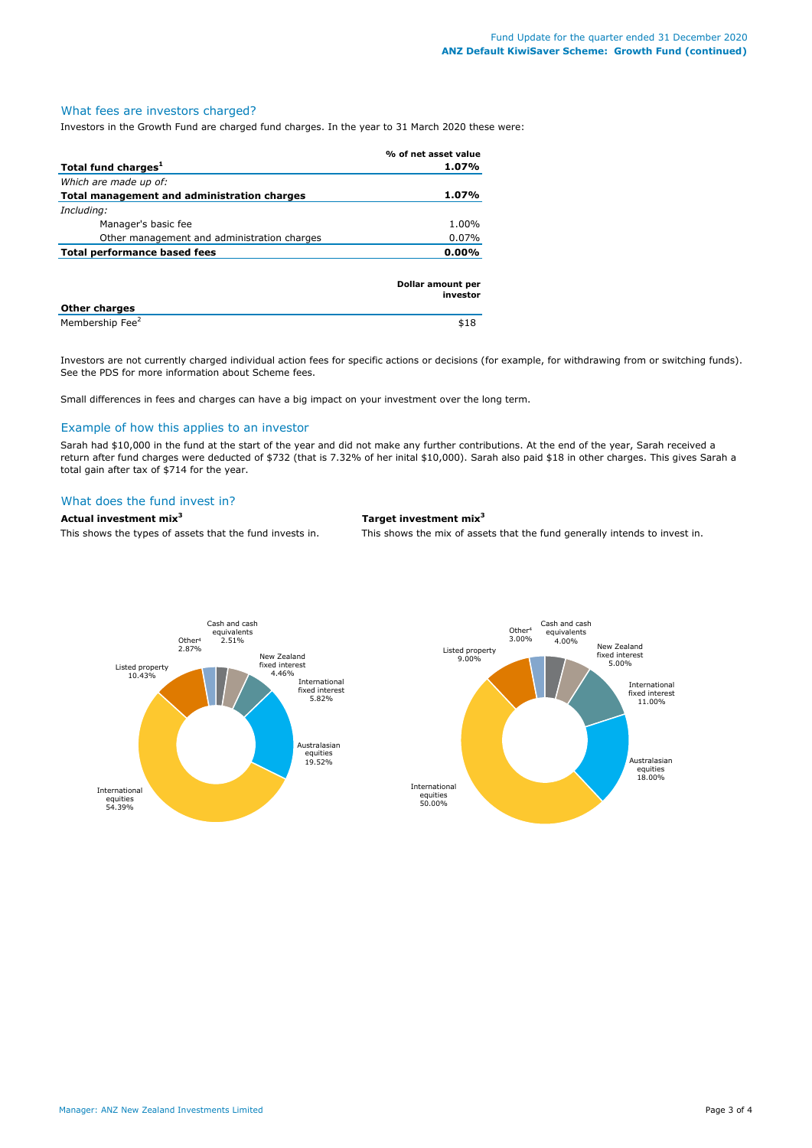### What fees are investors charged?

Investors in the Growth Fund are charged fund charges. In the year to 31 March 2020 these were:

|                                             | % of net asset value          |
|---------------------------------------------|-------------------------------|
| Total fund charges <sup>1</sup>             | 1.07%                         |
| Which are made up of:                       |                               |
| Total management and administration charges | 1.07%                         |
| Including:                                  |                               |
| Manager's basic fee                         | 1.00%                         |
| Other management and administration charges | $0.07\%$                      |
| <b>Total performance based fees</b>         | $0.00\%$                      |
| Other charges                               | Dollar amount per<br>investor |

**Other charges**  Membership Fee<sup>2</sup> \$18

Investors are not currently charged individual action fees for specific actions or decisions (for example, for withdrawing from or switching funds). See the PDS for more information about Scheme fees.

Small differences in fees and charges can have a big impact on your investment over the long term.

#### Example of how this applies to an investor

Sarah had \$10,000 in the fund at the start of the year and did not make any further contributions. At the end of the year, Sarah received a return after fund charges were deducted of \$732 (that is 7.32% of her inital \$10,000). Sarah also paid \$18 in other charges. This gives Sarah a total gain after tax of \$714 for the year.

#### What does the fund invest in?

# **Actual investment mix<sup>3</sup> Target investment mix<sup>3</sup>**

This shows the types of assets that the fund invests in. This shows the mix of assets that the fund generally intends to invest in.